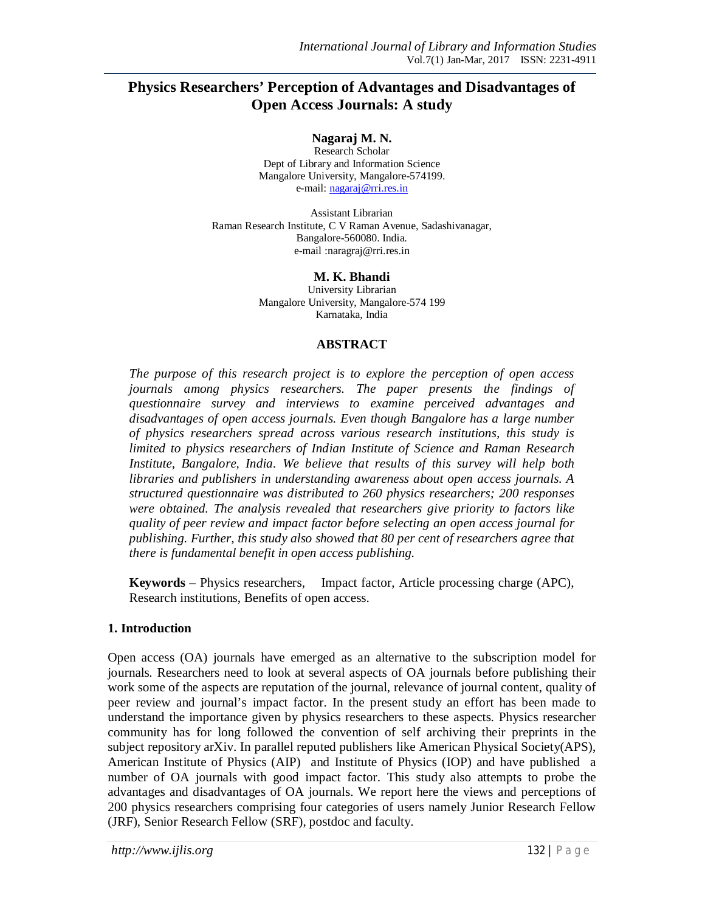# **Physics Researchers' Perception of Advantages and Disadvantages of Open Access Journals: A study**

**Nagaraj M. N.**

Research Scholar Dept of Library and Information Science Mangalore University, Mangalore-574199. e-mail: nagaraj@rri.res.in

Assistant Librarian Raman Research Institute, C V Raman Avenue, Sadashivanagar, Bangalore-560080. India. e-mail :naragraj@rri.res.in

> **M. K. Bhandi** University Librarian Mangalore University, Mangalore-574 199 Karnataka, India

#### **ABSTRACT**

*The purpose of this research project is to explore the perception of open access journals among physics researchers. The paper presents the findings of questionnaire survey and interviews to examine perceived advantages and disadvantages of open access journals. Even though Bangalore has a large number of physics researchers spread across various research institutions, this study is limited to physics researchers of Indian Institute of Science and Raman Research Institute, Bangalore, India. We believe that results of this survey will help both libraries and publishers in understanding awareness about open access journals. A structured questionnaire was distributed to 260 physics researchers; 200 responses were obtained. The analysis revealed that researchers give priority to factors like quality of peer review and impact factor before selecting an open access journal for publishing. Further, this study also showed that 80 per cent of researchers agree that there is fundamental benefit in open access publishing.*

**Keywords** – Physics researchers, Impact factor, Article processing charge (APC), Research institutions, Benefits of open access.

#### **1. Introduction**

Open access (OA) journals have emerged as an alternative to the subscription model for journals. Researchers need to look at several aspects of OA journals before publishing their work some of the aspects are reputation of the journal, relevance of journal content, quality of peer review and journal's impact factor. In the present study an effort has been made to understand the importance given by physics researchers to these aspects. Physics researcher community has for long followed the convention of self archiving their preprints in the subject repository arXiv. In parallel reputed publishers like American Physical Society(APS), American Institute of Physics (AIP) and Institute of Physics (IOP) and have published a number of OA journals with good impact factor. This study also attempts to probe the advantages and disadvantages of OA journals. We report here the views and perceptions of 200 physics researchers comprising four categories of users namely Junior Research Fellow (JRF), Senior Research Fellow (SRF), postdoc and faculty.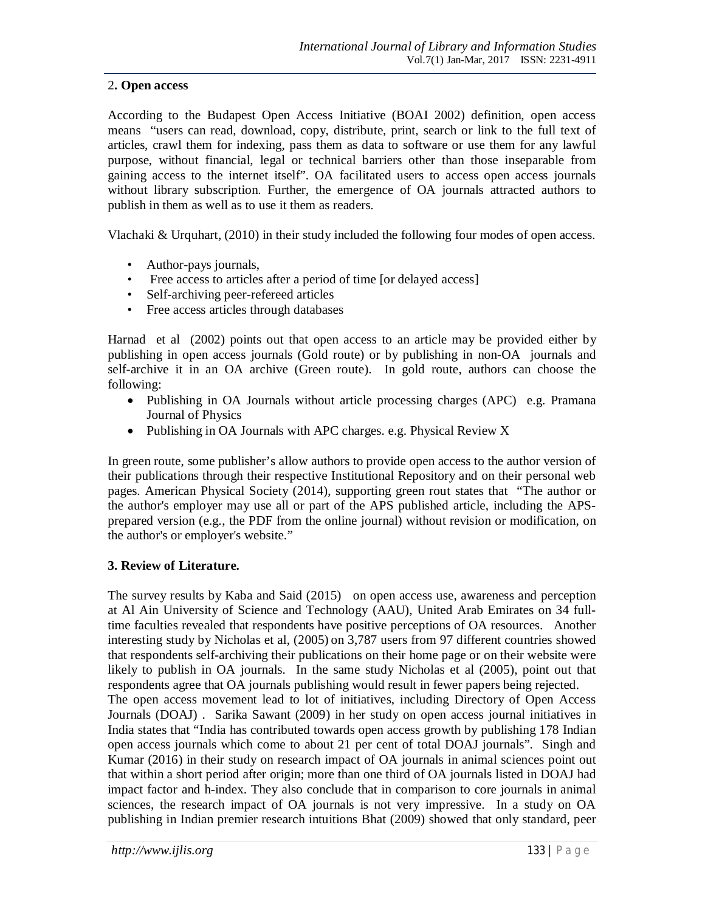## 2**. Open access**

According to the Budapest Open Access Initiative (BOAI 2002) definition, open access means "users can read, download, copy, distribute, print, search or link to the full text of articles, crawl them for indexing, pass them as data to software or use them for any lawful purpose, without financial, legal or technical barriers other than those inseparable from gaining access to the internet itself". OA facilitated users to access open access journals without library subscription. Further, the emergence of OA journals attracted authors to publish in them as well as to use it them as readers.

Vlachaki & Urquhart, (2010) in their study included the following four modes of open access.

- Author-pays journals,
- Free access to articles after a period of time [or delayed access]
- Self-archiving peer-refereed articles
- Free access articles through databases

Harnad et al (2002) points out that open access to an article may be provided either by publishing in open access journals (Gold route) or by publishing in non-OA journals and self-archive it in an OA archive (Green route). In gold route, authors can choose the following:

- Publishing in OA Journals without article processing charges (APC) e.g. Pramana Journal of Physics
- Publishing in OA Journals with APC charges. e.g. Physical Review X

In green route, some publisher's allow authors to provide open access to the author version of their publications through their respective Institutional Repository and on their personal web pages. American Physical Society (2014), supporting green rout states that "The author or the author's employer may use all or part of the APS published article, including the APSprepared version (e.g., the PDF from the online journal) without revision or modification, on the author's or employer's website."

#### **3. Review of Literature.**

The survey results by Kaba and Said (2015) on open access use, awareness and perception at Al Ain University of Science and Technology (AAU), United Arab Emirates on 34 fulltime faculties revealed that respondents have positive perceptions of OA resources. Another interesting study by Nicholas et al, (2005) on 3,787 users from 97 different countries showed that respondents self-archiving their publications on their home page or on their website were likely to publish in OA journals. In the same study Nicholas et al (2005), point out that respondents agree that OA journals publishing would result in fewer papers being rejected.

The open access movement lead to lot of initiatives, including Directory of Open Access Journals (DOAJ) . Sarika Sawant (2009) in her study on open access journal initiatives in India states that "India has contributed towards open access growth by publishing 178 Indian open access journals which come to about 21 per cent of total DOAJ journals". Singh and Kumar (2016) in their study on research impact of OA journals in animal sciences point out that within a short period after origin; more than one third of OA journals listed in DOAJ had impact factor and h-index. They also conclude that in comparison to core journals in animal sciences, the research impact of OA journals is not very impressive. In a study on OA publishing in Indian premier research intuitions Bhat (2009) showed that only standard, peer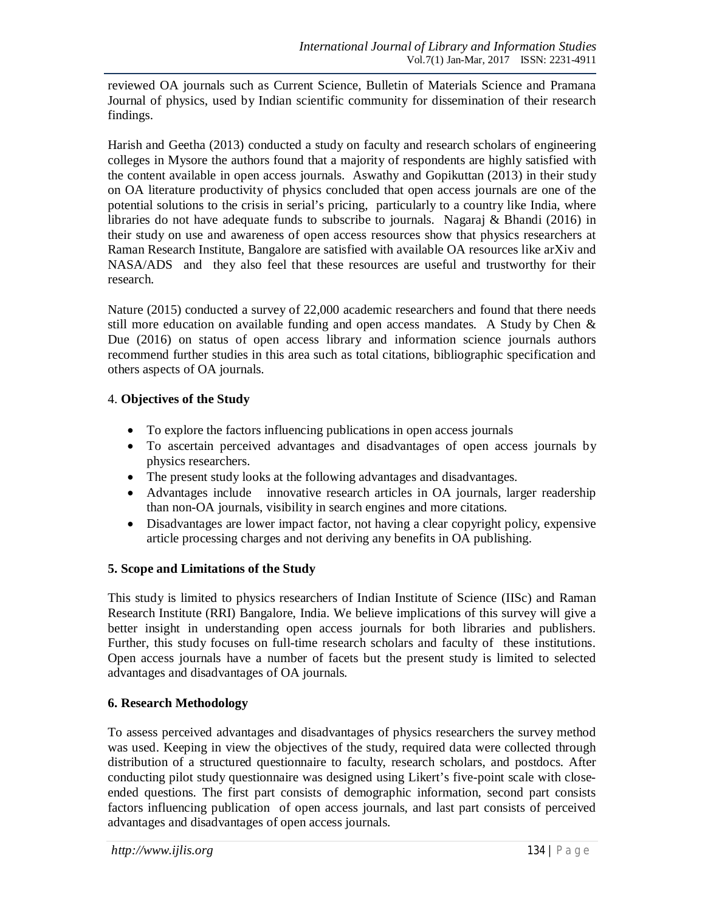reviewed OA journals such as Current Science, Bulletin of Materials Science and Pramana Journal of physics, used by Indian scientific community for dissemination of their research findings.

Harish and Geetha (2013) conducted a study on faculty and research scholars of engineering colleges in Mysore the authors found that a majority of respondents are highly satisfied with the content available in open access journals. Aswathy and Gopikuttan (2013) in their study on OA literature productivity of physics concluded that open access journals are one of the potential solutions to the crisis in serial's pricing, particularly to a country like India, where libraries do not have adequate funds to subscribe to journals. Nagaraj & Bhandi (2016) in their study on use and awareness of open access resources show that physics researchers at Raman Research Institute, Bangalore are satisfied with available OA resources like arXiv and NASA/ADS and they also feel that these resources are useful and trustworthy for their research.

Nature (2015) conducted a survey of 22,000 academic researchers and found that there needs still more education on available funding and open access mandates. A Study by Chen  $\&$ Due (2016) on status of open access library and information science journals authors recommend further studies in this area such as total citations, bibliographic specification and others aspects of OA journals.

#### 4. **Objectives of the Study**

- To explore the factors influencing publications in open access journals
- To ascertain perceived advantages and disadvantages of open access journals by physics researchers.
- The present study looks at the following advantages and disadvantages.
- Advantages include innovative research articles in OA journals, larger readership than non-OA journals, visibility in search engines and more citations.
- Disadvantages are lower impact factor, not having a clear copyright policy, expensive article processing charges and not deriving any benefits in OA publishing.

#### **5. Scope and Limitations of the Study**

This study is limited to physics researchers of Indian Institute of Science (IISc) and Raman Research Institute (RRI) Bangalore, India. We believe implications of this survey will give a better insight in understanding open access journals for both libraries and publishers. Further, this study focuses on full-time research scholars and faculty of these institutions. Open access journals have a number of facets but the present study is limited to selected advantages and disadvantages of OA journals.

#### **6. Research Methodology**

To assess perceived advantages and disadvantages of physics researchers the survey method was used. Keeping in view the objectives of the study, required data were collected through distribution of a structured questionnaire to faculty, research scholars, and postdocs. After conducting pilot study questionnaire was designed using Likert's five-point scale with closeended questions. The first part consists of demographic information, second part consists factors influencing publication of open access journals, and last part consists of perceived advantages and disadvantages of open access journals.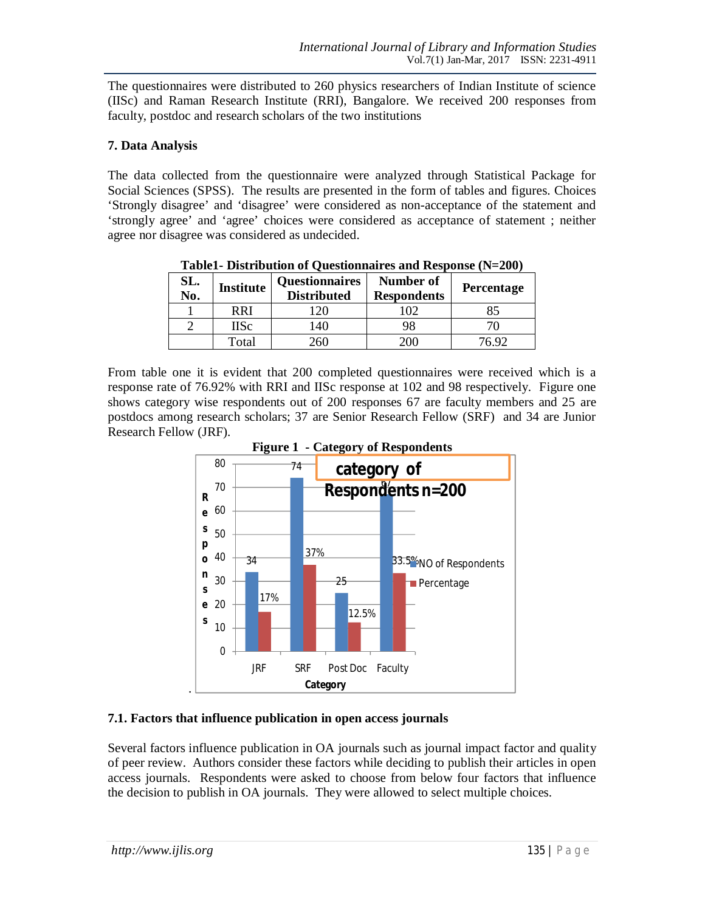The questionnaires were distributed to 260 physics researchers of Indian Institute of science (IISc) and Raman Research Institute (RRI), Bangalore. We received 200 responses from faculty, postdoc and research scholars of the two institutions

#### **7. Data Analysis**

The data collected from the questionnaire were analyzed through Statistical Package for Social Sciences (SPSS). The results are presented in the form of tables and figures. Choices 'Strongly disagree' and 'disagree' were considered as non-acceptance of the statement and 'strongly agree' and 'agree' choices were considered as acceptance of statement ; neither agree nor disagree was considered as undecided.

| SL.<br>No. | <b>Institute</b> | <b>Questionnaires</b><br><b>Distributed</b> | Number of<br><b>Respondents</b> | <b>Percentage</b> |
|------------|------------------|---------------------------------------------|---------------------------------|-------------------|
|            | RRI              |                                             |                                 |                   |
|            | IISc             | 40                                          | 98                              |                   |
|            | Гоtal            | 260                                         |                                 |                   |

**Table1- Distribution of Questionnaires and Response (N=200)**

From table one it is evident that 200 completed questionnaires were received which is a response rate of 76.92% with RRI and IISc response at 102 and 98 respectively. Figure one shows category wise respondents out of 200 responses 67 are faculty members and 25 are postdocs among research scholars; 37 are Senior Research Fellow (SRF) and 34 are Junior Research Fellow (JRF).



#### **7.1. Factors that influence publication in open access journals**

Several factors influence publication in OA journals such as journal impact factor and quality of peer review. Authors consider these factors while deciding to publish their articles in open access journals. Respondents were asked to choose from below four factors that influence the decision to publish in OA journals. They were allowed to select multiple choices.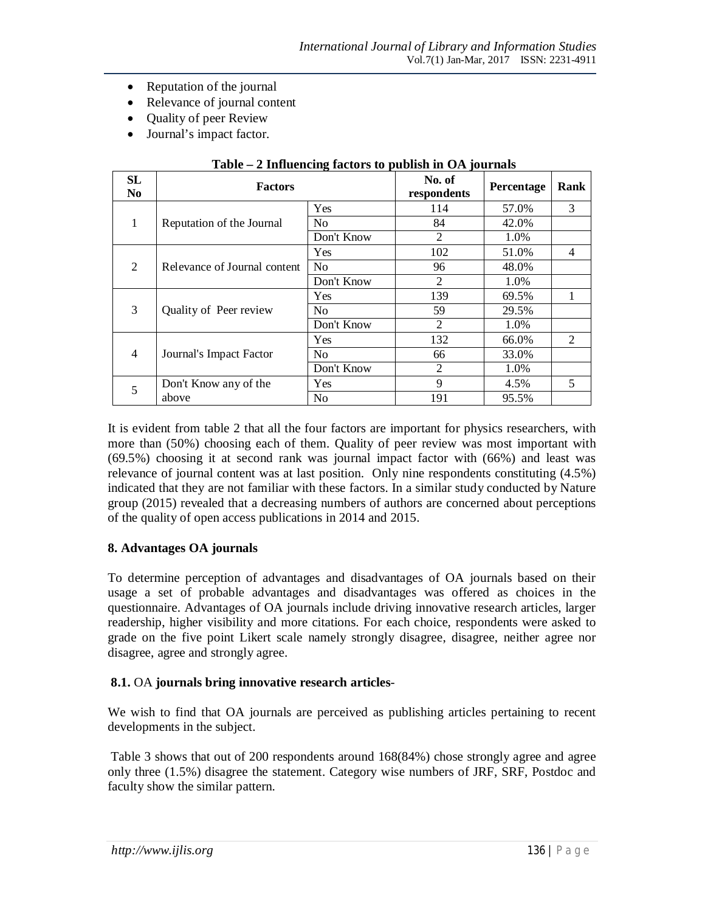- Reputation of the journal
- Relevance of journal content
- Quality of peer Review
- Journal's impact factor.

| <b>SL</b><br>N <sub>0</sub> | <b>Factors</b>               | No. of<br>respondents | Percentage     | Rank  |                |
|-----------------------------|------------------------------|-----------------------|----------------|-------|----------------|
|                             |                              | Yes                   | 114            | 57.0% | 3              |
| 1                           | Reputation of the Journal    | N <sub>o</sub>        | 84             | 42.0% |                |
|                             |                              | Don't Know            | $\mathfrak{D}$ | 1.0%  |                |
|                             |                              | <b>Yes</b>            | 102            | 51.0% | 4              |
| 2                           | Relevance of Journal content | No                    | 96             | 48.0% |                |
|                             |                              | Don't Know            | $\mathfrak{D}$ | 1.0%  |                |
|                             |                              | <b>Yes</b>            | 139            | 69.5% | 1              |
| 3                           | Quality of Peer review       | N <sub>0</sub>        | 59             | 29.5% |                |
|                             |                              | Don't Know            | $\mathfrak{D}$ | 1.0%  |                |
|                             |                              | <b>Yes</b>            | 132            | 66.0% | $\mathfrak{D}$ |
| $\overline{4}$              | Journal's Impact Factor      | N <sub>o</sub>        | 66             | 33.0% |                |
|                             |                              | Don't Know            | $\overline{2}$ | 1.0%  |                |
| 5                           | Don't Know any of the        | Yes                   | 9              | 4.5%  | 5              |
|                             | above                        | N <sub>o</sub>        | 191            | 95.5% |                |

#### **Table – 2 Influencing factors to publish in OA journals**

It is evident from table 2 that all the four factors are important for physics researchers, with more than (50%) choosing each of them. Quality of peer review was most important with (69.5%) choosing it at second rank was journal impact factor with (66%) and least was relevance of journal content was at last position. Only nine respondents constituting (4.5%) indicated that they are not familiar with these factors. In a similar study conducted by Nature group (2015) revealed that a decreasing numbers of authors are concerned about perceptions of the quality of open access publications in 2014 and 2015.

#### **8. Advantages OA journals**

To determine perception of advantages and disadvantages of OA journals based on their usage a set of probable advantages and disadvantages was offered as choices in the questionnaire. Advantages of OA journals include driving innovative research articles, larger readership, higher visibility and more citations. For each choice, respondents were asked to grade on the five point Likert scale namely strongly disagree, disagree, neither agree nor disagree, agree and strongly agree.

#### **8.1.** OA **journals bring innovative research articles**-

We wish to find that OA journals are perceived as publishing articles pertaining to recent developments in the subject.

Table 3 shows that out of 200 respondents around 168(84%) chose strongly agree and agree only three (1.5%) disagree the statement. Category wise numbers of JRF, SRF, Postdoc and faculty show the similar pattern.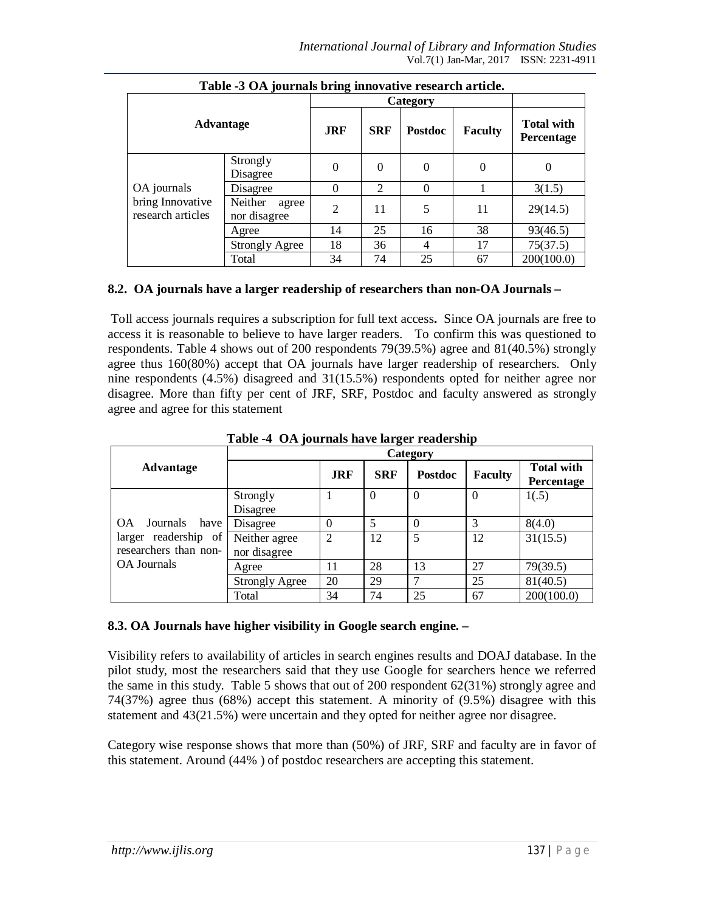| Table -3 OA journals bring innovative research article. |                                  |                |               |                |                |                                        |  |  |
|---------------------------------------------------------|----------------------------------|----------------|---------------|----------------|----------------|----------------------------------------|--|--|
|                                                         |                                  |                | Category      |                |                |                                        |  |  |
| <b>Advantage</b>                                        |                                  | <b>JRF</b>     | <b>SRF</b>    | Postdoc        | <b>Faculty</b> | <b>Total with</b><br><b>Percentage</b> |  |  |
|                                                         | Strongly<br>Disagree             | 0              | $\Omega$      | $\theta$       | 0              |                                        |  |  |
| OA journals                                             | Disagree                         | $\theta$       | $\mathcal{D}$ | $\Omega$       |                | 3(1.5)                                 |  |  |
| bring Innovative<br>research articles                   | Neither<br>agree<br>nor disagree | $\overline{2}$ | 11            | 5              | 11             | 29(14.5)                               |  |  |
|                                                         | Agree                            | 14             | 25            | 16             | 38             | 93(46.5)                               |  |  |
|                                                         | <b>Strongly Agree</b>            | 18             | 36            | $\overline{4}$ | 17             | 75(37.5)                               |  |  |
|                                                         | Total                            | 34             | 74            | 25             | 67             | 200(100.0)                             |  |  |

#### **8.2. OA journals have a larger readership of researchers than non-OA Journals –**

Toll access journals requires a subscription for full text access**.** Since OA journals are free to access it is reasonable to believe to have larger readers. To confirm this was questioned to respondents. Table 4 shows out of 200 respondents 79(39.5%) agree and 81(40.5%) strongly agree thus 160(80%) accept that OA journals have larger readership of researchers. Only nine respondents (4.5%) disagreed and 31(15.5%) respondents opted for neither agree nor disagree. More than fifty per cent of JRF, SRF, Postdoc and faculty answered as strongly agree and agree for this statement

|                               | <br>-<br>Category     |                |            |                |                  |                                 |  |  |
|-------------------------------|-----------------------|----------------|------------|----------------|------------------|---------------------------------|--|--|
| <b>Advantage</b>              |                       | <b>JRF</b>     | <b>SRF</b> | <b>Postdoc</b> | <b>Faculty</b>   | <b>Total with</b><br>Percentage |  |  |
|                               | Strongly              | 1              | $\theta$   | $\Omega$       | $\boldsymbol{0}$ | 1(.5)                           |  |  |
|                               | Disagree              |                |            |                |                  |                                 |  |  |
| <b>OA</b><br>Journals<br>have | Disagree              | $\Omega$       | 5          |                | 3                | 8(4.0)                          |  |  |
| larger readership of          | Neither agree         | $\overline{2}$ | 12         | 5              | 12               | 31(15.5)                        |  |  |
| researchers than non-         | nor disagree          |                |            |                |                  |                                 |  |  |
| <b>OA</b> Journals            | Agree                 | 11             | 28         | 13             | 27               | 79(39.5)                        |  |  |
|                               | <b>Strongly Agree</b> | 20             | 29         | ⇁              | 25               | 81(40.5)                        |  |  |
|                               | Total                 | 34             | 74         | 25             | 67               | 200(100.0)                      |  |  |

**Table -4 OA journals have larger readership**

#### **8.3. OA Journals have higher visibility in Google search engine. –**

Visibility refers to availability of articles in search engines results and DOAJ database. In the pilot study, most the researchers said that they use Google for searchers hence we referred the same in this study. Table 5 shows that out of 200 respondent 62(31%) strongly agree and 74(37%) agree thus (68%) accept this statement. A minority of (9.5%) disagree with this statement and 43(21.5%) were uncertain and they opted for neither agree nor disagree.

Category wise response shows that more than (50%) of JRF, SRF and faculty are in favor of this statement. Around (44% ) of postdoc researchers are accepting this statement.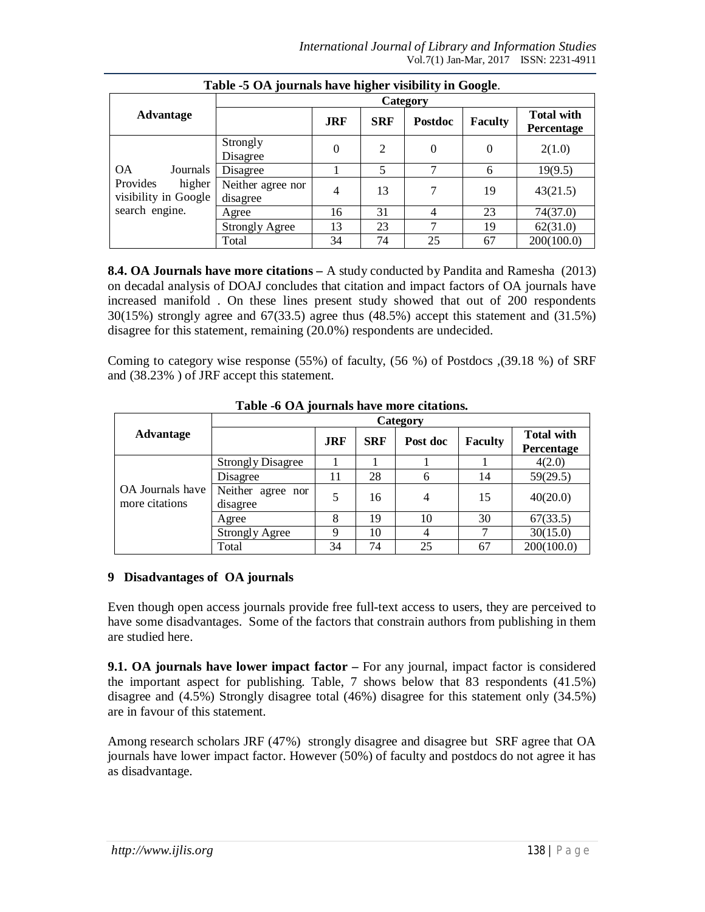| Table -5 OA journals have higher visibility in Google. |                               |                |            |                |                |                                 |  |  |
|--------------------------------------------------------|-------------------------------|----------------|------------|----------------|----------------|---------------------------------|--|--|
|                                                        |                               |                |            |                |                |                                 |  |  |
| <b>Advantage</b>                                       |                               | <b>JRF</b>     | <b>SRF</b> | <b>Postdoc</b> | <b>Faculty</b> | <b>Total with</b><br>Percentage |  |  |
|                                                        | Strongly<br>Disagree          | $\Omega$       | 2          | $\theta$       | $\Omega$       | 2(1.0)                          |  |  |
| <b>OA</b><br>Journals                                  | Disagree                      |                | 5          | 7              | 6              | 19(9.5)                         |  |  |
| Provides<br>higher<br>visibility in Google             | Neither agree nor<br>disagree | $\overline{4}$ | 13         | 7              | 19             | 43(21.5)                        |  |  |
| search engine.                                         | Agree                         | 16             | 31         | 4              | 23             | 74(37.0)                        |  |  |
|                                                        | <b>Strongly Agree</b>         | 13             | 23         |                | 19             | 62(31.0)                        |  |  |
|                                                        | Total                         | 34             | 74         | 25             | 67             | 200(100.0)                      |  |  |

**8.4. OA Journals have more citations –** A study conducted by Pandita and Ramesha (2013) on decadal analysis of DOAJ concludes that citation and impact factors of OA journals have increased manifold . On these lines present study showed that out of 200 respondents  $30(15%)$  strongly agree and  $67(33.5)$  agree thus  $(48.5%)$  accept this statement and  $(31.5%)$ disagree for this statement, remaining (20.0%) respondents are undecided.

Coming to category wise response (55%) of faculty, (56 %) of Postdocs ,(39.18 %) of SRF and (38.23% ) of JRF accept this statement.

|                                    | Category                      |            |            |                |                |                                 |  |  |
|------------------------------------|-------------------------------|------------|------------|----------------|----------------|---------------------------------|--|--|
| Advantage                          |                               | <b>JRF</b> | <b>SRF</b> | Post doc       | <b>Faculty</b> | <b>Total with</b><br>Percentage |  |  |
|                                    | <b>Strongly Disagree</b>      |            |            |                |                | 4(2.0)                          |  |  |
|                                    | Disagree                      | 11         | 28         | h              | 14             | 59(29.5)                        |  |  |
| OA Journals have<br>more citations | Neither agree nor<br>disagree | 5          | 16         | 4              | 15             | 40(20.0)                        |  |  |
|                                    | Agree                         | 8          | 19         | 10             | 30             | 67(33.5)                        |  |  |
|                                    | <b>Strongly Agree</b>         | 9          | 10         | $\overline{4}$ |                | 30(15.0)                        |  |  |
|                                    | Total                         | 34         | 74         | 25             | 67             | 200(100.0)                      |  |  |

**Table -6 OA journals have more citations.**

# **9 Disadvantages of OA journals**

Even though open access journals provide free full-text access to users, they are perceived to have some disadvantages. Some of the factors that constrain authors from publishing in them are studied here.

**9.1. OA journals have lower impact factor –** For any journal, impact factor is considered the important aspect for publishing. Table, 7 shows below that 83 respondents (41.5%) disagree and (4.5%) Strongly disagree total (46%) disagree for this statement only (34.5%) are in favour of this statement.

Among research scholars JRF (47%) strongly disagree and disagree but SRF agree that OA journals have lower impact factor. However (50%) of faculty and postdocs do not agree it has as disadvantage.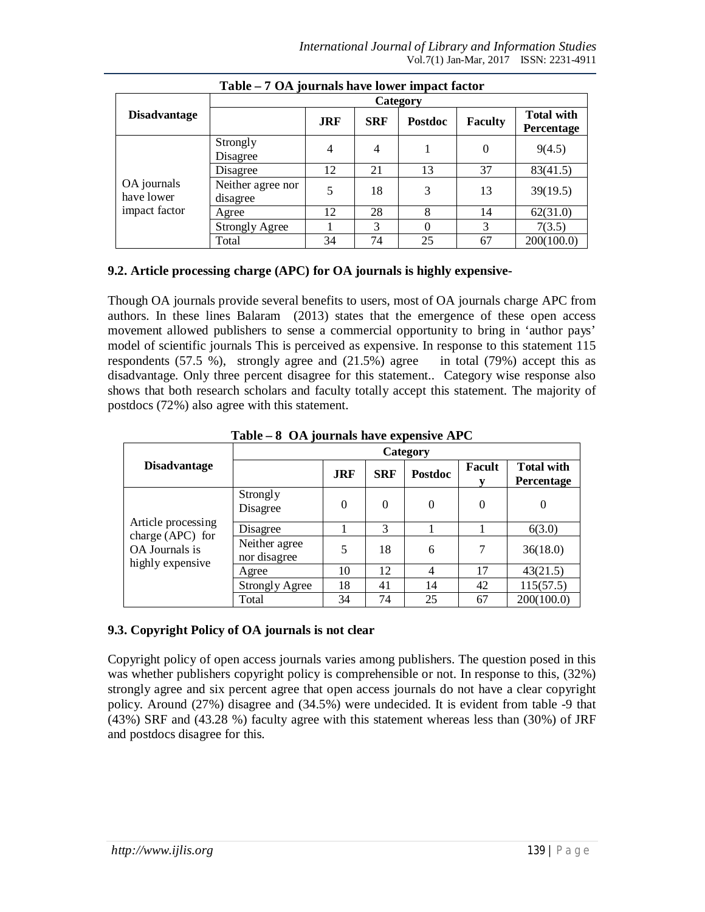| Table – 7 OA journals have lower impact factor |                               |            |                |                |                |                                 |  |  |
|------------------------------------------------|-------------------------------|------------|----------------|----------------|----------------|---------------------------------|--|--|
|                                                | Category                      |            |                |                |                |                                 |  |  |
| <b>Disadvantage</b>                            |                               | <b>JRF</b> | <b>SRF</b>     | <b>Postdoc</b> | <b>Faculty</b> | <b>Total with</b><br>Percentage |  |  |
|                                                | Strongly<br>Disagree          | 4          | $\overline{4}$ |                | $\theta$       | 9(4.5)                          |  |  |
|                                                | Disagree                      | 12         | 21             | 13             | 37             | 83(41.5)                        |  |  |
| OA journals<br>have lower<br>impact factor     | Neither agree nor<br>disagree |            | 18             | 3              | 13             | 39(19.5)                        |  |  |
|                                                | Agree                         | 12         | 28             | 8              | 14             | 62(31.0)                        |  |  |
|                                                | <b>Strongly Agree</b>         |            | 3              |                | 3              | 7(3.5)                          |  |  |
|                                                | Total                         | 34         | 74             | 25             | 67             | 200(100.0)                      |  |  |

# **9.2. Article processing charge (APC) for OA journals is highly expensive-**

Though OA journals provide several benefits to users, most of OA journals charge APC from authors. In these lines Balaram (2013) states that the emergence of these open access movement allowed publishers to sense a commercial opportunity to bring in 'author pays' model of scientific journals This is perceived as expensive. In response to this statement 115 respondents (57.5 %), strongly agree and (21.5%) agree in total (79%) accept this as disadvantage. Only three percent disagree for this statement.. Category wise response also shows that both research scholars and faculty totally accept this statement. The majority of postdocs (72%) also agree with this statement.

|                                                        | -----<br>$\sigma$ or $\sigma$ of $\sigma$ and $\sigma$ and $\sigma$ or $\sigma$ of $\sigma$ or $\sigma$ |            |            |                |          |                                 |  |  |
|--------------------------------------------------------|---------------------------------------------------------------------------------------------------------|------------|------------|----------------|----------|---------------------------------|--|--|
|                                                        | Category                                                                                                |            |            |                |          |                                 |  |  |
| <b>Disadvantage</b>                                    |                                                                                                         | <b>JRF</b> | <b>SRF</b> | <b>Postdoc</b> | Facult   | <b>Total with</b><br>Percentage |  |  |
|                                                        | Strongly<br>Disagree                                                                                    | $\theta$   | $\theta$   | $\theta$       | $\theta$ | 0                               |  |  |
| Article processing                                     | Disagree                                                                                                |            | 3          |                |          | 6(3.0)                          |  |  |
| charge (APC) for<br>OA Journals is<br>highly expensive | Neither agree<br>nor disagree                                                                           | 5          | 18         | 6              | 7        | 36(18.0)                        |  |  |
|                                                        | Agree                                                                                                   | 10         | 12         | 4              | 17       | 43(21.5)                        |  |  |
|                                                        | <b>Strongly Agree</b>                                                                                   | 18         | 41         | 14             | 42       | 115(57.5)                       |  |  |
|                                                        | Total                                                                                                   | 34         | 74         | 25             | 67       | 200(100.0)                      |  |  |

**Table – 8 OA journals have expensive APC**

#### **9.3. Copyright Policy of OA journals is not clear**

Copyright policy of open access journals varies among publishers. The question posed in this was whether publishers copyright policy is comprehensible or not. In response to this,  $(32\%)$ strongly agree and six percent agree that open access journals do not have a clear copyright policy. Around (27%) disagree and (34.5%) were undecided. It is evident from table -9 that (43%) SRF and (43.28 %) faculty agree with this statement whereas less than (30%) of JRF and postdocs disagree for this.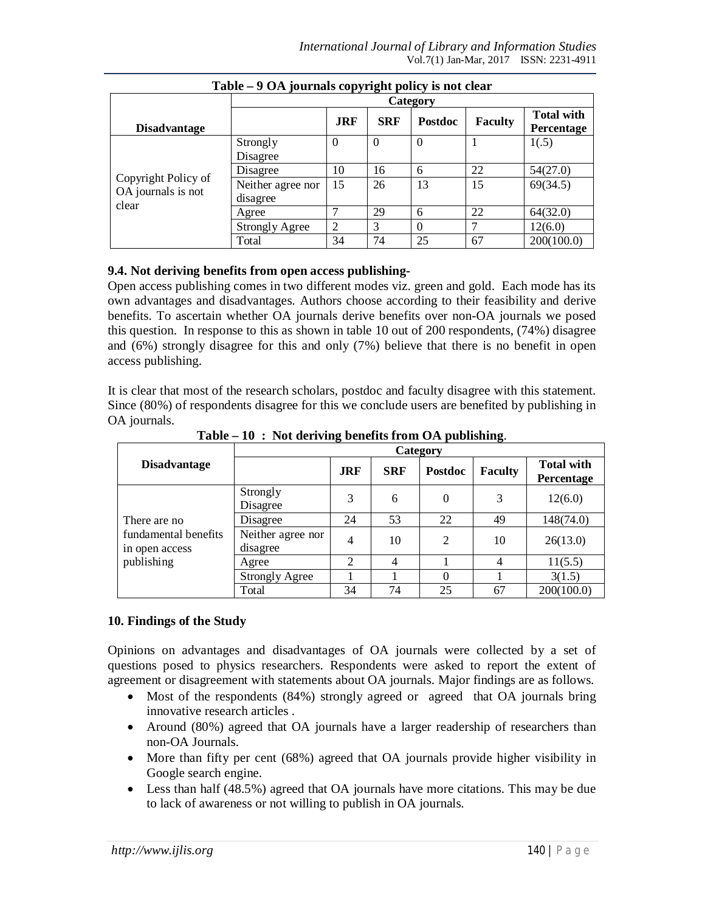|                                           | <br>$\overline{\phantom{a}}$<br>-<br>Category |                |            |                |                |                                 |  |  |
|-------------------------------------------|-----------------------------------------------|----------------|------------|----------------|----------------|---------------------------------|--|--|
| <b>Disadvantage</b>                       |                                               | <b>JRF</b>     | <b>SRF</b> | <b>Postdoc</b> | <b>Faculty</b> | <b>Total with</b><br>Percentage |  |  |
|                                           | Strongly                                      | $\Omega$       | $\theta$   | $\theta$       |                | 1(.5)                           |  |  |
|                                           | Disagree                                      |                |            |                |                |                                 |  |  |
|                                           | Disagree                                      | 10             | 16         | 6              | 22             | 54(27.0)                        |  |  |
| Copyright Policy of<br>OA journals is not | Neither agree nor                             | 15             | 26         | 13             | 15             | 69(34.5)                        |  |  |
| clear                                     | disagree                                      |                |            |                |                |                                 |  |  |
|                                           | Agree                                         |                | 29         | 6              | 22             | 64(32.0)                        |  |  |
|                                           | <b>Strongly Agree</b>                         | $\overline{2}$ | 3          |                | ⇁              | 12(6.0)                         |  |  |
|                                           | Total                                         | 34             | 74         | 25             | 67             | 200(100.0)                      |  |  |

### **Table – 9 OA journals copyright policy is not clear**

#### **9.4. Not deriving benefits from open access publishing-**

Open access publishing comes in two different modes viz. green and gold. Each mode has its own advantages and disadvantages. Authors choose according to their feasibility and derive benefits. To ascertain whether OA journals derive benefits over non-OA journals we posed this question. In response to this as shown in table 10 out of 200 respondents, (74%) disagree and (6%) strongly disagree for this and only (7%) believe that there is no benefit in open access publishing.

It is clear that most of the research scholars, postdoc and faculty disagree with this statement. Since (80%) of respondents disagree for this we conclude users are benefited by publishing in OA journals.

|                                                      | Category                      |                |            |          |                |                                 |  |  |
|------------------------------------------------------|-------------------------------|----------------|------------|----------|----------------|---------------------------------|--|--|
| <b>Disadvantage</b>                                  |                               | <b>JRF</b>     | <b>SRF</b> | Postdoc  | <b>Faculty</b> | <b>Total with</b><br>Percentage |  |  |
|                                                      | Strongly<br>Disagree          | 3              | 6          | $\theta$ | 3              | 12(6.0)                         |  |  |
| There are no                                         | Disagree                      | 24             | 53         | 22       | 49             | 148(74.0)                       |  |  |
| fundamental benefits<br>in open access<br>publishing | Neither agree nor<br>disagree | 4              | 10         | 2        | 10             | 26(13.0)                        |  |  |
|                                                      | Agree                         | $\overline{c}$ | 4          |          | $\overline{4}$ | 11(5.5)                         |  |  |
|                                                      | <b>Strongly Agree</b>         |                |            | 0        |                | 3(1.5)                          |  |  |
|                                                      | Total                         | 34             | 74         | 25       | 67             | 200(100.0)                      |  |  |

**Table – 10 : Not deriving benefits from OA publishing**.

# **10. Findings of the Study**

Opinions on advantages and disadvantages of OA journals were collected by a set of questions posed to physics researchers. Respondents were asked to report the extent of agreement or disagreement with statements about OA journals. Major findings are as follows.

- Most of the respondents (84%) strongly agreed or agreed that OA journals bring innovative research articles .
- Around (80%) agreed that OA journals have a larger readership of researchers than non-OA Journals.
- More than fifty per cent (68%) agreed that OA journals provide higher visibility in Google search engine.
- Less than half (48.5%) agreed that OA journals have more citations. This may be due to lack of awareness or not willing to publish in OA journals.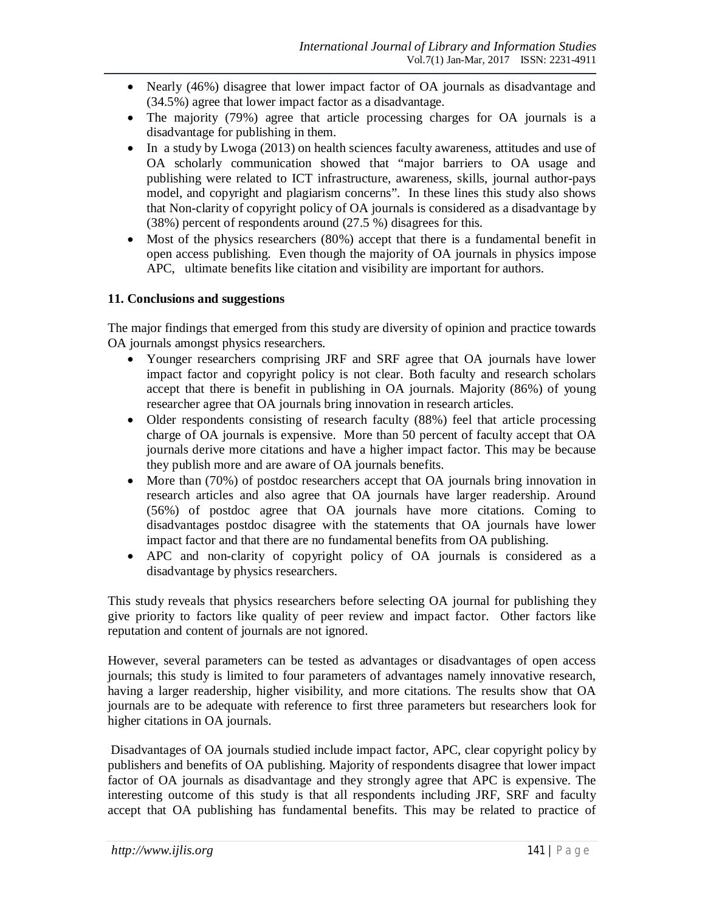- Nearly (46%) disagree that lower impact factor of OA journals as disadvantage and (34.5%) agree that lower impact factor as a disadvantage.
- The majority (79%) agree that article processing charges for OA journals is a disadvantage for publishing in them.
- In a study by Lwoga (2013) on health sciences faculty awareness, attitudes and use of OA scholarly communication showed that "major barriers to OA usage and publishing were related to ICT infrastructure, awareness, skills, journal author-pays model, and copyright and plagiarism concerns". In these lines this study also shows that Non-clarity of copyright policy of OA journals is considered as a disadvantage by (38%) percent of respondents around (27.5 %) disagrees for this.
- Most of the physics researchers (80%) accept that there is a fundamental benefit in open access publishing. Even though the majority of OA journals in physics impose APC, ultimate benefits like citation and visibility are important for authors.

#### **11. Conclusions and suggestions**

The major findings that emerged from this study are diversity of opinion and practice towards OA journals amongst physics researchers.

- Younger researchers comprising JRF and SRF agree that OA journals have lower impact factor and copyright policy is not clear. Both faculty and research scholars accept that there is benefit in publishing in OA journals. Majority (86%) of young researcher agree that OA journals bring innovation in research articles.
- Older respondents consisting of research faculty (88%) feel that article processing charge of OA journals is expensive. More than 50 percent of faculty accept that OA journals derive more citations and have a higher impact factor. This may be because they publish more and are aware of OA journals benefits.
- More than (70%) of postdoc researchers accept that OA journals bring innovation in research articles and also agree that OA journals have larger readership. Around (56%) of postdoc agree that OA journals have more citations. Coming to disadvantages postdoc disagree with the statements that OA journals have lower impact factor and that there are no fundamental benefits from OA publishing.
- APC and non-clarity of copyright policy of OA journals is considered as a disadvantage by physics researchers.

This study reveals that physics researchers before selecting OA journal for publishing they give priority to factors like quality of peer review and impact factor. Other factors like reputation and content of journals are not ignored.

However, several parameters can be tested as advantages or disadvantages of open access journals; this study is limited to four parameters of advantages namely innovative research, having a larger readership, higher visibility, and more citations. The results show that OA journals are to be adequate with reference to first three parameters but researchers look for higher citations in OA journals.

Disadvantages of OA journals studied include impact factor, APC, clear copyright policy by publishers and benefits of OA publishing. Majority of respondents disagree that lower impact factor of OA journals as disadvantage and they strongly agree that APC is expensive. The interesting outcome of this study is that all respondents including JRF, SRF and faculty accept that OA publishing has fundamental benefits. This may be related to practice of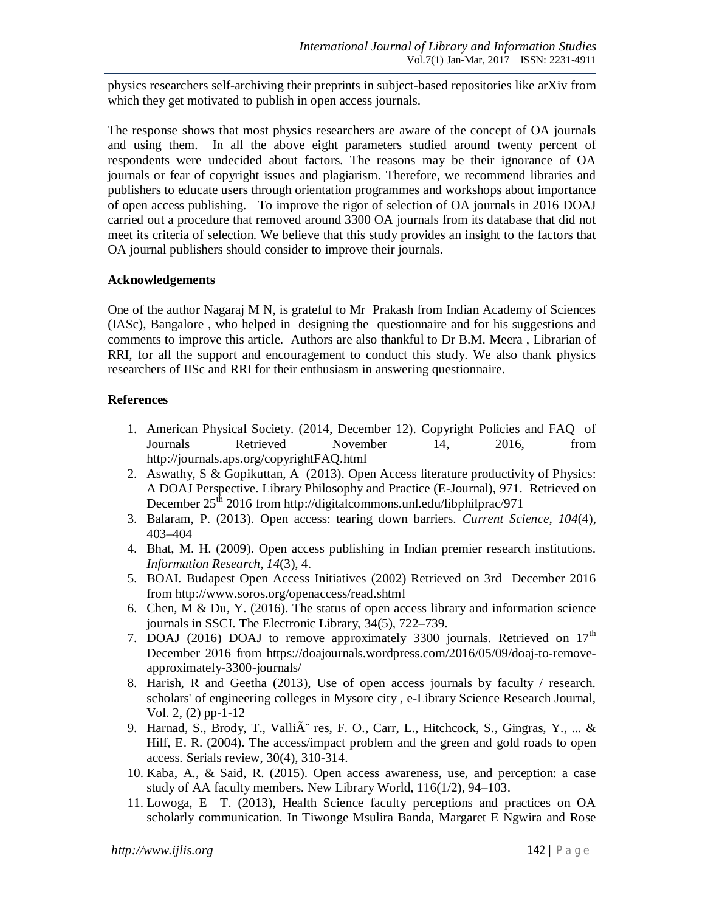physics researchers self-archiving their preprints in subject-based repositories like arXiv from which they get motivated to publish in open access journals.

The response shows that most physics researchers are aware of the concept of OA journals and using them. In all the above eight parameters studied around twenty percent of respondents were undecided about factors. The reasons may be their ignorance of OA journals or fear of copyright issues and plagiarism. Therefore, we recommend libraries and publishers to educate users through orientation programmes and workshops about importance of open access publishing. To improve the rigor of selection of OA journals in 2016 DOAJ carried out a procedure that removed around 3300 OA journals from its database that did not meet its criteria of selection. We believe that this study provides an insight to the factors that OA journal publishers should consider to improve their journals.

#### **Acknowledgements**

One of the author Nagaraj M N, is grateful to Mr Prakash from Indian Academy of Sciences (IASc), Bangalore , who helped in designing the questionnaire and for his suggestions and comments to improve this article. Authors are also thankful to Dr B.M. Meera , Librarian of RRI, for all the support and encouragement to conduct this study. We also thank physics researchers of IISc and RRI for their enthusiasm in answering questionnaire.

#### **References**

- 1. American Physical Society. (2014, December 12). Copyright Policies and FAQ of Journals Retrieved November 14, 2016, from http://journals.aps.org/copyrightFAQ.html
- 2. Aswathy, S & Gopikuttan, A (2013). Open Access literature productivity of Physics: A DOAJ Perspective. Library Philosophy and Practice (E-Journal), 971. Retrieved on December  $25<sup>th</sup>$  2016 from http://digitalcommons.unl.edu/libphilprac/971
- 3. Balaram, P. (2013). Open access: tearing down barriers. *Current Science*, *104*(4), 403–404
- 4. Bhat, M. H. (2009). Open access publishing in Indian premier research institutions. *Information Research*, *14*(3), 4.
- 5. BOAI. Budapest Open Access Initiatives (2002) Retrieved on 3rd December 2016 from http://www.soros.org/openaccess/read.shtml
- 6. Chen, M & Du, Y. (2016). The status of open access library and information science journals in SSCI. The Electronic Library, 34(5), 722–739.
- 7. DOAJ (2016) DOAJ to remove approximately 3300 journals. Retrieved on  $17<sup>th</sup>$ December 2016 from https://doajournals.wordpress.com/2016/05/09/doaj-to-removeapproximately-3300-journals/
- 8. Harish, R and Geetha (2013), Use of open access journals by faculty / research. scholars' of engineering colleges in Mysore city , e-Library Science Research Journal, Vol. 2, (2) pp-1-12
- 9. Harnad, S., Brody, T., Valli $\tilde{A}$  res, F. O., Carr, L., Hitchcock, S., Gingras, Y., ... & Hilf, E. R. (2004). The access/impact problem and the green and gold roads to open access. Serials review, 30(4), 310-314.
- 10. Kaba, A., & Said, R. (2015). Open access awareness, use, and perception: a case study of AA faculty members. New Library World, 116(1/2), 94–103.
- 11. Lowoga, E T. (2013), Health Science faculty perceptions and practices on OA scholarly communication. In Tiwonge Msulira Banda, Margaret E Ngwira and Rose